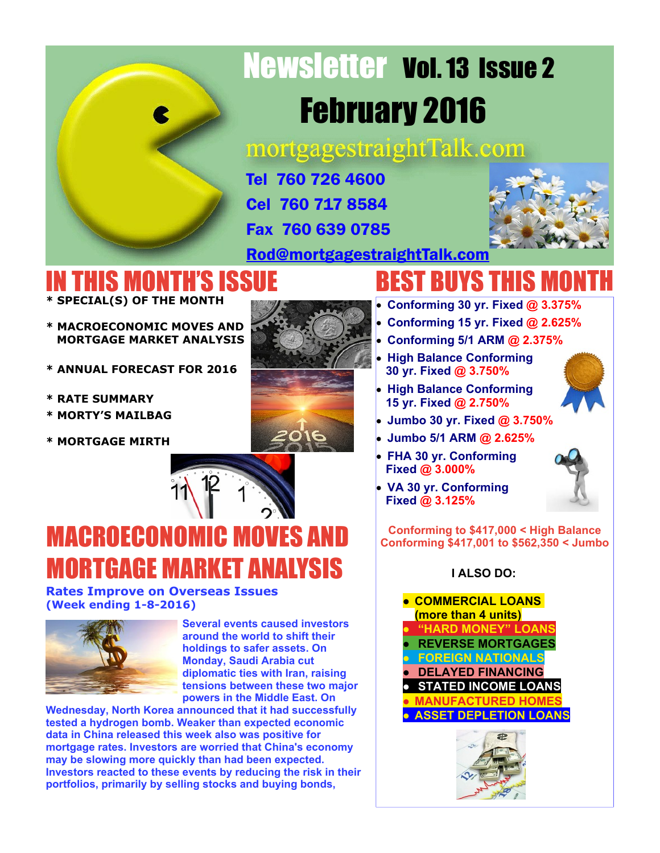# Newsletter Vol. 13 Issue 2 February 2016

mortgagestraightTalk.com

Tel 760 726 4600 Cel 760 717 8584

Fax 760 639 0785



[Rod@mortgagestraightTalk.com](mailto:Rod@MortgageStraightTalk.com)

#### IN THIS MONTH'S ISSUE **\* SPECIAL(S) OF THE MONTH**

- 
- **\* MACROECONOMIC MOVES AND MORTGAGE MARKET ANALYSIS**
- **\* ANNUAL FORECAST FOR 2016**
- **\* RATE SUMMARY**
- **\* MORTY'S MAILBAG**
- **\* MORTGAGE MIRTH**



# BEST BUYS THIS MONTH

- **Conforming 30 yr. Fixed @ 3.375%**
- **Conforming 15 yr. Fixed @ 2.625%**
- **Conforming 5/1 ARM @ 2.375%**
- **High Balance Conforming 30 yr. Fixed @ 3.750%**
- **High Balance Conforming 15 yr. Fixed @ 2.750%**
- **Jumbo 30 yr. Fixed @ 3.750%**
- **Jumbo 5/1 ARM @ 2.625%**
- **FHA 30 yr. Conforming Fixed @ 3.000%**



**VA 30 yr. Conforming Fixed @ 3.125%**

**Conforming to \$417,000 < High Balance Conforming \$417,001 to \$562,350 < Jumbo**

#### **I ALSO DO:**







MACROECONOMIC MOVES AND

**Several events caused investors around the world to shift their holdings to safer assets. On Monday, Saudi Arabia cut diplomatic ties with Iran, raising tensions between these two major powers in the Middle East. On**

**Wednesday, North Korea announced that it had successfully tested a hydrogen bomb. Weaker than expected economic data in China released this week also was positive for mortgage rates. Investors are worried that China's economy may be slowing more quickly than had been expected. Investors reacted to these events by reducing the risk in their portfolios, primarily by selling stocks and buying bonds,**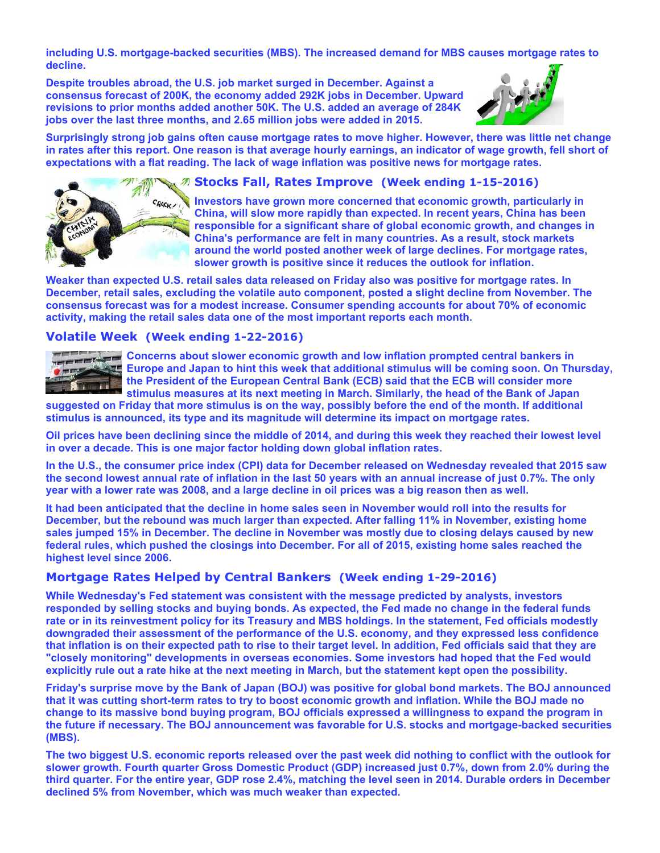**including U.S. mortgage-backed securities (MBS). The increased demand for MBS causes mortgage rates to decline.**

**Despite troubles abroad, the U.S. job market surged in December. Against a consensus forecast of 200K, the economy added 292K jobs in December. Upward revisions to prior months added another 50K. The U.S. added an average of 284K jobs over the last three months, and 2.65 million jobs were added in 2015.**



**Surprisingly strong job gains often cause mortgage rates to move higher. However, there was little net change in rates after this report. One reason is that average hourly earnings, an indicator of wage growth, fell short of expectations with a flat reading. The lack of wage inflation was positive news for mortgage rates.**



#### **Stocks Fall, Rates Improve (Week ending 1-15-2016)**

**Investors have grown more concerned that economic growth, particularly in China, will slow more rapidly than expected. In recent years, China has been responsible for a significant share of global economic growth, and changes in China's performance are felt in many countries. As a result, stock markets around the world posted another week of large declines. For mortgage rates, slower growth is positive since it reduces the outlook for inflation.**

**Weaker than expected U.S. retail sales data released on Friday also was positive for mortgage rates. In December, retail sales, excluding the volatile auto component, posted a slight decline from November. The consensus forecast was for a modest increase. Consumer spending accounts for about 70% of economic activity, making the retail sales data one of the most important reports each month.**

#### **Volatile Week (Week ending 1-22-2016)**



**Concerns about slower economic growth and low inflation prompted central bankers in Europe and Japan to hint this week that additional stimulus will be coming soon. On Thursday, the President of the European Central Bank (ECB) said that the ECB will consider more stimulus measures at its next meeting in March. Similarly, the head of the Bank of Japan**

**suggested on Friday that more stimulus is on the way, possibly before the end of the month. If additional stimulus is announced, its type and its magnitude will determine its impact on mortgage rates.**

**Oil prices have been declining since the middle of 2014, and during this week they reached their lowest level in over a decade. This is one major factor holding down global inflation rates.**

**In the U.S., the consumer price index (CPI) data for December released on Wednesday revealed that 2015 saw the second lowest annual rate of inflation in the last 50 years with an annual increase of just 0.7%. The only year with a lower rate was 2008, and a large decline in oil prices was a big reason then as well.**

**It had been anticipated that the decline in home sales seen in November would roll into the results for December, but the rebound was much larger than expected. After falling 11% in November, existing home sales jumped 15% in December. The decline in November was mostly due to closing delays caused by new federal rules, which pushed the closings into December. For all of 2015, existing home sales reached the highest level since 2006.**

#### **Mortgage Rates Helped by Central Bankers (Week ending 1-29-2016)**

**While Wednesday's Fed statement was consistent with the message predicted by analysts, investors responded by selling stocks and buying bonds. As expected, the Fed made no change in the federal funds rate or in its reinvestment policy for its Treasury and MBS holdings. In the statement, Fed officials modestly downgraded their assessment of the performance of the U.S. economy, and they expressed less confidence that inflation is on their expected path to rise to their target level. In addition, Fed officials said that they are "closely monitoring" developments in overseas economies. Some investors had hoped that the Fed would explicitly rule out a rate hike at the next meeting in March, but the statement kept open the possibility.**

**Friday's surprise move by the Bank of Japan (BOJ) was positive for global bond markets. The BOJ announced that it was cutting short-term rates to try to boost economic growth and inflation. While the BOJ made no change to its massive bond buying program, BOJ officials expressed a willingness to expand the program in the future if necessary. The BOJ announcement was favorable for U.S. stocks and mortgage-backed securities (MBS).**

**The two biggest U.S. economic reports released over the past week did nothing to conflict with the outlook for slower growth. Fourth quarter Gross Domestic Product (GDP) increased just 0.7%, down from 2.0% during the third quarter. For the entire year, GDP rose 2.4%, matching the level seen in 2014. Durable orders in December declined 5% from November, which was much weaker than expected.**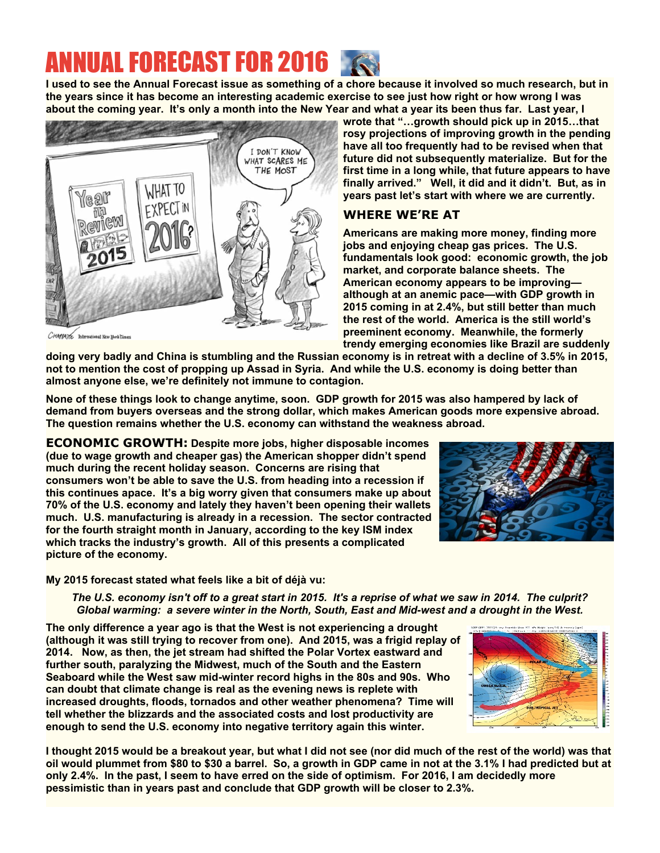## ANNUAL FORECAST FOR 2016

**I used to see the Annual Forecast issue as something of a chore because it involved so much research, but in the years since it has become an interesting academic exercise to see just how right or how wrong I was about the coming year. It's only a month into the New Year and what a year its been thus far. Last year, I**



**wrote that "…growth should pick up in 2015…that rosy projections of improving growth in the pending have all too frequently had to be revised when that future did not subsequently materialize. But for the first time in a long while, that future appears to have finally arrived." Well, it did and it didn't. But, as in years past let's start with where we are currently.**

#### **WHERE WE'RE AT**

**Americans are making more money, finding more jobs and enjoying cheap gas prices. The U.S. fundamentals look good: economic growth, the job market, and corporate balance sheets. The American economy appears to be improving although at an anemic pace—with GDP growth in 2015 coming in at 2.4%, but still better than much the rest of the world. America is the still world's preeminent economy. Meanwhile, the formerly trendy emerging economies like Brazil are suddenly**

CHAPPATE International New Hork Cime

**doing very badly and China is stumbling and the Russian economy is in retreat with a decline of 3.5% in 2015, not to mention the cost of propping up Assad in Syria. And while the U.S. economy is doing better than almost anyone else, we're definitely not immune to contagion.**

**None of these things look to change anytime, soon. GDP growth for 2015 was also hampered by lack of demand from buyers overseas and the strong dollar, which makes American goods more expensive abroad. The question remains whether the U.S. economy can withstand the weakness abroad.**

**ECONOMIC GROWTH: Despite more jobs, higher disposable incomes (due to wage growth and cheaper gas) the American shopper didn't spend much during the recent holiday season. Concerns are rising that consumers won't be able to save the U.S. from heading into a recession if this continues apace. It's a big worry given that consumers make up about 70% of the U.S. economy and lately they haven't been opening their wallets much. U.S. manufacturing is already in a recession. The sector contracted for the fourth straight month in January, according to the key ISM index which tracks the industry's growth. All of this presents a complicated picture of the economy.**

**My 2015 forecast stated what feels like a bit of déjà vu:**

*The U.S. economy isn't off to a great start in 2015. It's a reprise of what we saw in 2014. The culprit? Global warming: a severe winter in the North, South, East and Mid-west and a drought in the West.*

**The only difference a year ago is that the West is not experiencing a drought (although it was still trying to recover from one). And 2015, was a frigid replay of 2014. Now, as then, the jet stream had shifted the Polar Vortex eastward and further south, paralyzing the Midwest, much of the South and the Eastern Seaboard while the West saw mid-winter record highs in the 80s and 90s. Who can doubt that climate change is real as the evening news is replete with increased droughts, floods, tornados and other weather phenomena? Time will tell whether the blizzards and the associated costs and lost productivity are enough to send the U.S. economy into negative territory again this winter.**

**I thought 2015 would be a breakout year, but what I did not see (nor did much of the rest of the world) was that oil would plummet from \$80 to \$30 a barrel. So, a growth in GDP came in not at the 3.1% I had predicted but at only 2.4%. In the past, I seem to have erred on the side of optimism. For 2016, I am decidedly more pessimistic than in years past and conclude that GDP growth will be closer to 2.3%.**

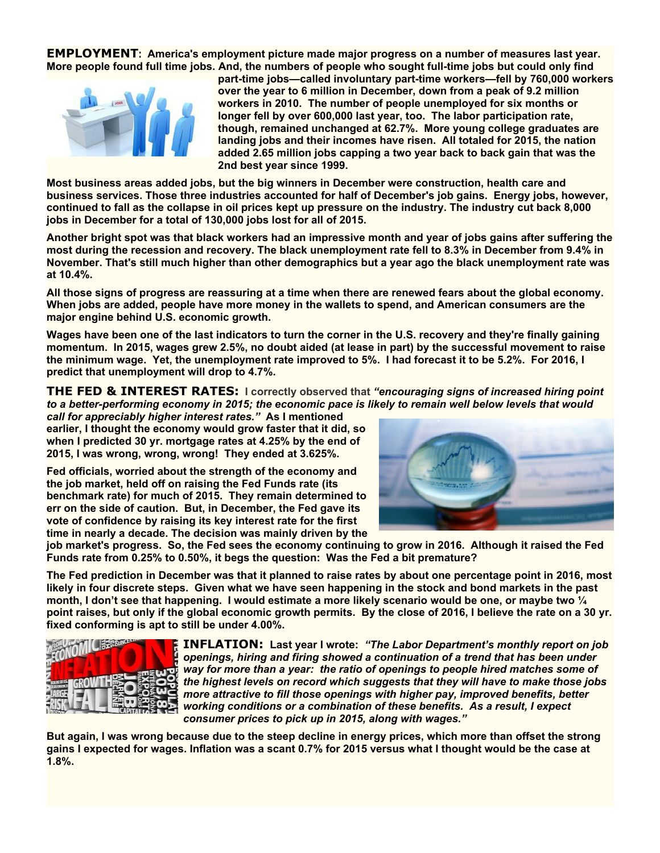**EMPLOYMENT:** America's employment picture made major progress on a number of measures last year. **More people found full time jobs. And, the numbers of people who sought full-time jobs but could only find**



**part-time jobs—called involuntary part-time workers—fell by 760,000 workers over the year to 6 million in December, down from a peak of 9.2 million workers in 2010. The number of people unemployed for six months or longer fell by over 600,000 last year, too. The labor participation rate, though, remained unchanged at 62.7%. More young college graduates are landing jobs and their incomes have risen. All totaled for 2015, the nation added 2.65 million jobs capping a two year back to back gain that was the 2nd best year since 1999.**

**Most business areas added jobs, but the big winners in December were construction, health care and business services. Those three industries accounted for half of December's job gains. Energy jobs, however, continued to fall as the collapse in oil prices kept up pressure on the industry. The industry cut back 8,000 jobs in December for a total of 130,000 jobs lost for all of 2015.**

**Another bright spot was that black workers had an impressive month and year of jobs gains after suffering the most during the recession and recovery. The black unemployment rate fell to 8.3% in December from 9.4% in November. That's still much higher than other demographics but a year ago the black unemployment rate was at 10.4%.**

**All those signs of progress are reassuring at a time when there are renewed fears about the global economy. When jobs are added, people have more money in the wallets to spend, and American consumers are the major engine behind U.S. economic growth.**

**Wages have been one of the last indicators to turn the corner in the U.S. recovery and they're finally gaining momentum. In 2015, wages grew 2.5%, no doubt aided (at lease in part) by the successful movement to raise the minimum wage. Yet, the unemployment rate improved to 5%. I had forecast it to be 5.2%. For 2016, I predict that unemployment will drop to 4.7%.**

**THE FED & INTEREST RATES: I correctly observed that** *"encouraging signs of increased hiring point to a better-performing economy in 2015; the economic pace is likely to remain well below levels that would*

*call for appreciably higher interest rates."* **As I mentioned earlier, I thought the economy would grow faster that it did, so when I predicted 30 yr. mortgage rates at 4.25% by the end of 2015, I was wrong, wrong, wrong! They ended at 3.625%.**

**Fed officials, worried about the strength of the economy and the job market, held off on raising the Fed Funds rate (its benchmark rate) for much of 2015. They remain determined to err on the side of caution. But, in December, the Fed gave its vote of confidence by raising its key interest rate for the first time in nearly a decade. The decision was mainly driven by the**



**job market's progress. So, the Fed sees the economy continuing to grow in 2016. Although it raised the Fed Funds rate from 0.25% to 0.50%, it begs the question: Was the Fed a bit premature?**

**The Fed prediction in December was that it planned to raise rates by about one percentage point in 2016, most likely in four discrete steps. Given what we have seen happening in the stock and bond markets in the past month, I don't see that happening. I would estimate a more likely scenario would be one, or maybe two ¼ point raises, but only if the global economic growth permits. By the close of 2016, I believe the rate on a 30 yr. fixed conforming is apt to still be under 4.00%.**



**INFLATION: Last year I wrote:** *"The Labor Department's monthly report on job openings, hiring and firing showed a continuation of a trend that has been under way for more than a year: the ratio of openings to people hired matches some of the highest levels on record which suggests that they will have to make those jobs more attractive to fill those openings with higher pay, improved benefits, better working conditions or a combination of these benefits. As a result, I expect consumer prices to pick up in 2015, along with wages."*

**But again, I was wrong because due to the steep decline in energy prices, which more than offset the strong gains I expected for wages. Inflation was a scant 0.7% for 2015 versus what I thought would be the case at 1.8%.**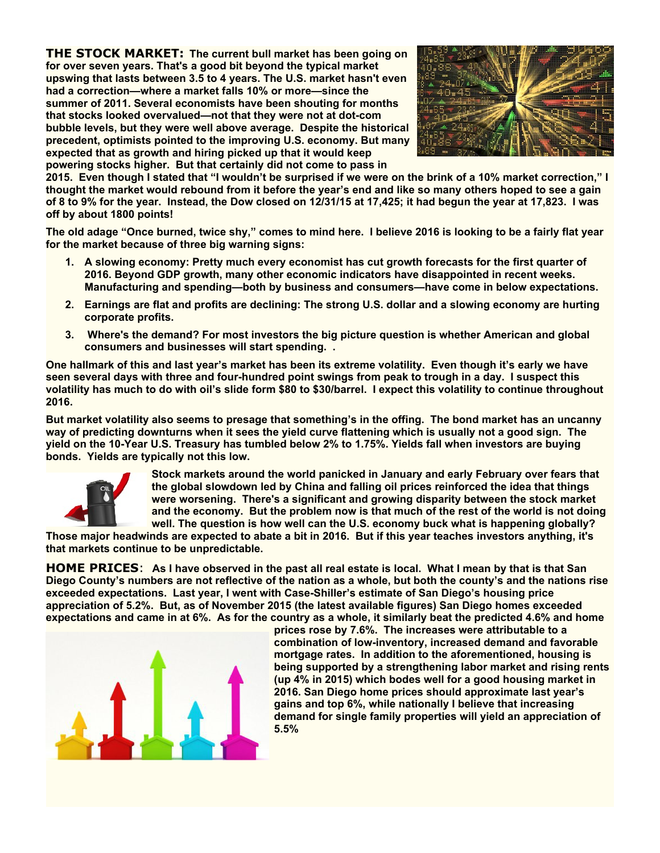**THE STOCK MARKET: The current bull market has been going on for over seven years. That's a good bit beyond the typical market upswing that lasts between 3.5 to 4 years. The U.S. market hasn't even had a correction—where a market falls 10% or more—since the summer of 2011. Several economists have been shouting for months that stocks looked overvalued—not that they were not at dot-com bubble levels, but they were well above average. Despite the historical precedent, optimists pointed to the improving U.S. economy. But many expected that as growth and hiring picked up that it would keep powering stocks higher. But that certainly did not come to pass in**



**2015. Even though I stated that "I wouldn't be surprised if we were on the brink of a 10% market correction," I thought the market would rebound from it before the year's end and like so many others hoped to see a gain of 8 to 9% for the year. Instead, the Dow closed on 12/31/15 at 17,425; it had begun the year at 17,823. I was off by about 1800 points!**

**The old adage "Once burned, twice shy," comes to mind here. I believe 2016 is looking to be a fairly flat year for the market because of three big warning signs:**

- **1. A slowing economy: Pretty much every economist has cut growth forecasts for the first quarter of 2016. Beyond GDP growth, many other economic indicators have disappointed in recent weeks. Manufacturing and spending—both by business and consumers—have come in below expectations.**
- **2. Earnings are flat and profits are declining: The strong U.S. dollar and a slowing economy are hurting corporate profits.**
- **3. Where's the demand? For most investors the big picture question is whether American and global consumers and businesses will start spending. .**

**One hallmark of this and last year's market has been its extreme volatility. Even though it's early we have seen several days with three and four-hundred point swings from peak to trough in a day. I suspect this volatility has much to do with oil's slide form \$80 to \$30/barrel. I expect this volatility to continue throughout 2016.**

**But market volatility also seems to presage that something's in the offing. The bond market has an uncanny way of predicting downturns when it sees the yield curve flattening which is usually not a good sign. The yield on the 10-Year U.S. Treasury has tumbled below 2% to 1.75%. Yields fall when investors are buying bonds. Yields are typically not this low.**



**Stock markets around the world panicked in January and early February over fears that the global slowdown led by China and falling oil prices reinforced the idea that things were worsening. There's a significant and growing disparity between the stock market and the economy. But the problem now is that much of the rest of the world is not doing well. The question is how well can the U.S. economy buck what is happening globally?**

**Those major headwinds are expected to abate a bit in 2016. But if this year teaches investors anything, it's that markets continue to be unpredictable.**

**HOME PRICES**: **As I have observed in the past all real estate is local. What I mean by that is that San Diego County's numbers are not reflective of the nation as a whole, but both the county's and the nations rise exceeded expectations. Last year, I went with Case-Shiller's estimate of San Diego's housing price appreciation of 5.2%. But, as of November 2015 (the latest available figures) San Diego homes exceeded expectations and came in at 6%. As for the country as a whole, it similarly beat the predicted 4.6% and home**



**prices rose by 7.6%. The increases were attributable to a combination of low-inventory, increased demand and favorable mortgage rates. In addition to the aforementioned, housing is being supported by a strengthening labor market and rising rents (up 4% in 2015) which bodes well for a good housing market in 2016. San Diego home prices should approximate last year's gains and top 6%, while nationally I believe that increasing demand for single family properties will yield an appreciation of 5.5%**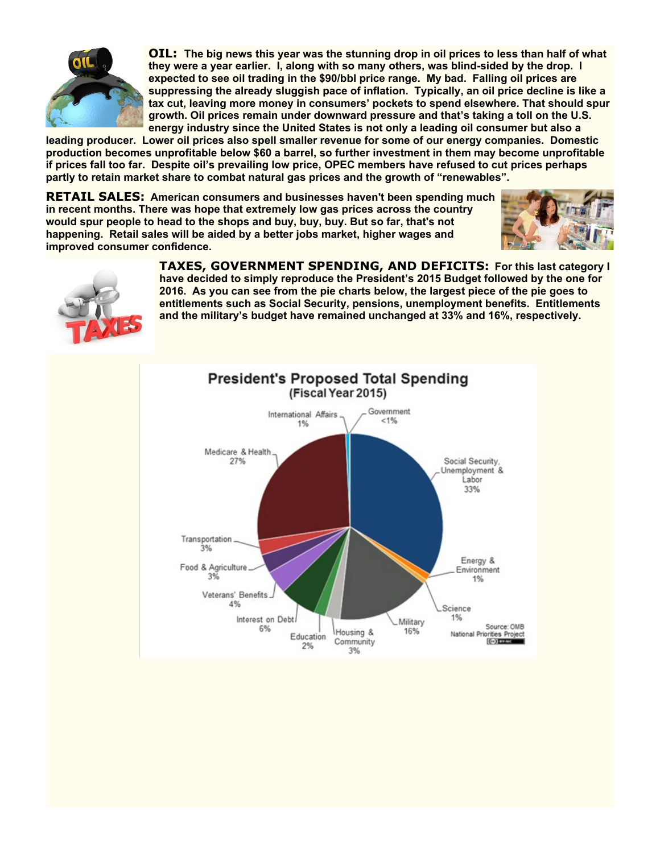

**OIL: The big news this year was the stunning drop in oil prices to less than half of what they were a year earlier. I, along with so many others, was blind-sided by the drop. I expected to see oil trading in the \$90/bbl price range. My bad. Falling oil prices are suppressing the already sluggish pace of inflation. Typically, an oil price decline is like a tax cut, leaving more money in consumers' pockets to spend elsewhere. That should spur growth. Oil prices remain under downward pressure and that's taking a toll on the U.S. energy industry since the United States is not only a leading oil consumer but also a**

**leading producer. Lower oil prices also spell smaller revenue for some of our energy companies. Domestic production becomes unprofitable below \$60 a barrel, so further investment in them may become unprofitable if prices fall too far. Despite oil's prevailing low price, OPEC members have refused to cut prices perhaps partly to retain market share to combat natural gas prices and the growth of "renewables".**

**RETAIL SALES: American consumers and businesses haven't been spending much in recent months. There was hope that extremely low gas prices across the country would spur people to head to the shops and buy, buy, buy. But so far, that's not happening. Retail sales will be aided by a better jobs market, higher wages and improved consumer confidence.**





**TAXES, GOVERNMENT SPENDING, AND DEFICITS: For this last category I have decided to simply reproduce the President's 2015 Budget followed by the one for 2016. As you can see from the pie charts below, the largest piece of the pie goes to entitlements such as Social Security, pensions, unemployment benefits. Entitlements and the military's budget have remained unchanged at 33% and 16%, respectively.**

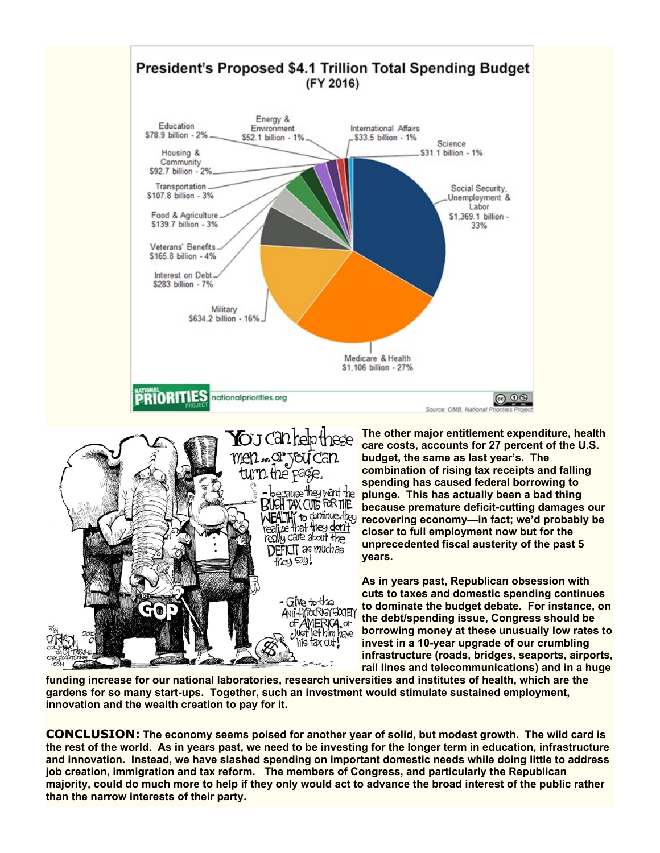



**The other major entitlement expenditure, health care costs, accounts for 27 percent of the U.S. budget, the same as last year's. The combination of rising tax receipts and falling spending has caused federal borrowing to plunge. This has actually been a bad thing because premature deficit-cutting damages our recovering economy—in fact; we'd probably be closer to full employment now but for the unprecedented fiscal austerity of the past 5 years.**

**As in years past, Republican obsession with cuts to taxes and domestic spending continues to dominate the budget debate. For instance, on the debt/spending issue, Congress should be borrowing money at these unusually low rates to invest in a 10-year upgrade of our crumbling infrastructure (roads, bridges, seaports, airports, rail lines and telecommunications) and in a huge**

**funding increase for our national laboratories, research universities and institutes of health, which are the gardens for so many start-ups. Together, such an investment would stimulate sustained employment, innovation and the wealth creation to pay for it.**

**CONCLUSION: The economy seems poised for another year of solid, but modest growth. The wild card is the rest of the world. As in years past, we need to be investing for the longer term in education, infrastructure and innovation. Instead, we have slashed spending on important domestic needs while doing little to address job creation, immigration and tax reform. The members of Congress, and particularly the Republican majority, could do much more to help if they only would act to advance the broad interest of the public rather than the narrow interests of their party.**